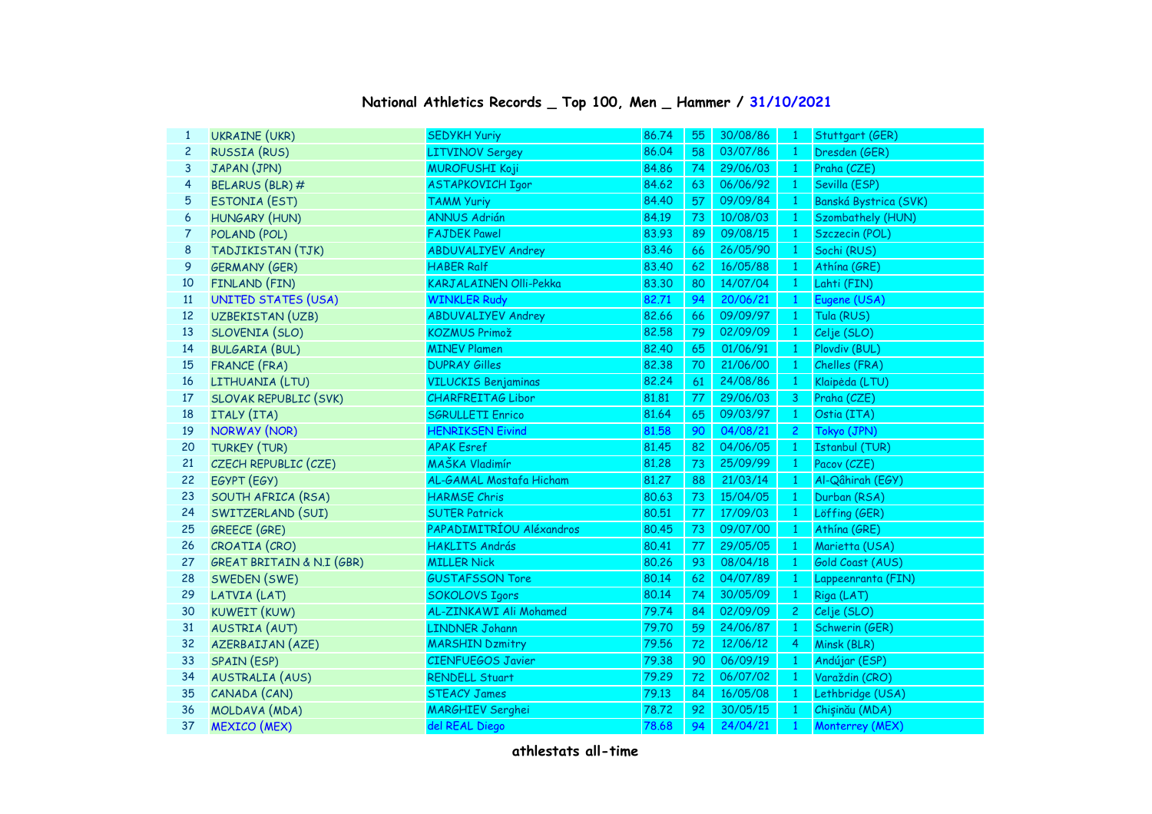| $\mathbf{1}$   | <b>UKRAINE (UKR)</b>                 | <b>SEDYKH Yuriy</b>           | 86.74 | 55 | 30/08/86 | -1             | Stuttgart (GER)       |
|----------------|--------------------------------------|-------------------------------|-------|----|----------|----------------|-----------------------|
| $\overline{c}$ | <b>RUSSIA (RUS)</b>                  | <b>LITVINOV Sergey</b>        | 86.04 | 58 | 03/07/86 | $\mathbf{1}$   | Dresden (GER)         |
| 3              | JAPAN (JPN)                          | <b>MUROFUSHI Koji</b>         | 84.86 | 74 | 29/06/03 | $\mathbf{1}$   | Praha (CZE)           |
| 4              | BELARUS (BLR) #                      | <b>ASTAPKOVICH Igor</b>       | 84.62 | 63 | 06/06/92 | $\mathbf{1}$   | Sevilla (ESP)         |
| 5              | ESTONIA (EST)                        | <b>TAMM Yuriy</b>             | 84.40 | 57 | 09/09/84 | $\mathbf{1}$   | Banská Bystrica (SVK) |
| 6              | <b>HUNGARY (HUN)</b>                 | <b>ANNUS Adrián</b>           | 84.19 | 73 | 10/08/03 | $\mathbf{1}$   | Szombathely (HUN)     |
| 7              | POLAND (POL)                         | <b>FAJDEK Pawel</b>           | 83.93 | 89 | 09/08/15 | $\mathbf{1}$   | Szczecin (POL)        |
| 8              | TADJIKISTAN (TJK)                    | <b>ABDUVALIYEV Andrey</b>     | 83.46 | 66 | 26/05/90 | $\mathbf{1}$   | Sochi (RUS)           |
| 9              | <b>GERMANY (GER)</b>                 | <b>HABER Ralf</b>             | 83.40 | 62 | 16/05/88 | $\mathbf{1}$   | Athína (GRE)          |
| 10             | FINLAND (FIN)                        | <b>KARJALAINEN Olli-Pekka</b> | 83.30 | 80 | 14/07/04 | $\mathbf{1}$   | Lahti (FIN)           |
| 11             | <b>UNITED STATES (USA)</b>           | <b>WINKLER Rudy</b>           | 82.71 | 94 | 20/06/21 | $\mathbf{1}$   | Eugene (USA)          |
| 12             | <b>UZBEKISTAN (UZB)</b>              | <b>ABDUVALIYEV Andrey</b>     | 82.66 | 66 | 09/09/97 | $\mathbf{1}$   | Tula (RUS)            |
| 13             | SLOVENIA (SLO)                       | KOZMUS Primož                 | 82,58 | 79 | 02/09/09 | $\mathbf{1}$   | Celje (SLO)           |
| 14             | <b>BULGARIA (BUL)</b>                | <b>MINEV Plamen</b>           | 82.40 | 65 | 01/06/91 | $\mathbf{1}$   | Plovdiv (BUL)         |
| 15             | <b>FRANCE (FRA)</b>                  | <b>DUPRAY Gilles</b>          | 82.38 | 70 | 21/06/00 | $\mathbf{1}$   | Chelles (FRA)         |
| 16             | LITHUANIA (LTU)                      | <b>VILUCKIS Benjaminas</b>    | 82.24 | 61 | 24/08/86 | $\mathbf{1}$   | Klaipėda (LTU)        |
| 17             | SLOVAK REPUBLIC (SVK)                | <b>CHARFREITAG Libor</b>      | 81.81 | 77 | 29/06/03 | 3              | Praha (CZE)           |
| 18             | ITALY (ITA)                          | <b>SGRULLETI Enrico</b>       | 81.64 | 65 | 09/03/97 | $\mathbf{1}$   | Ostia (ITA)           |
| 19             | <b>NORWAY (NOR)</b>                  | <b>HENRIKSEN Eivind</b>       | 81.58 | 90 | 04/08/21 | $\overline{2}$ | Tokyo (JPN)           |
| 20             | <b>TURKEY (TUR)</b>                  | <b>APAK Esref</b>             | 81.45 | 82 | 04/06/05 | $\mathbf{1}$   | <b>Istanbul (TUR)</b> |
| 21             | CZECH REPUBLIC (CZE)                 | MAŠKA Vladimír                | 81,28 | 73 | 25/09/99 | $\mathbf{1}$   | Pacov (CZE)           |
| 22             | EGYPT (EGY)                          | AL-GAMAL Mostafa Hicham       | 81.27 | 88 | 21/03/14 | $\mathbf{1}$   | Al-Qâhirah (EGY)      |
| 23             | SOUTH AFRICA (RSA)                   | <b>HARMSE Chris</b>           | 80.63 | 73 | 15/04/05 | $\mathbf{1}$   | Durban (RSA)          |
| 24             | SWITZERLAND (SUI)                    | <b>SUTER Patrick</b>          | 80.51 | 77 | 17/09/03 | $\mathbf{1}$   | Löffing (GER)         |
| 25             | <b>GREECE (GRE)</b>                  | PAPADIMITRÍOU Aléxandros      | 80.45 | 73 | 09/07/00 | $\mathbf{1}$   | Athína (GRE)          |
| 26             | CROATIA (CRO)                        | <b>HAKLITS András</b>         | 80.41 | 77 | 29/05/05 | $\mathbf{1}$   | Marietta (USA)        |
| 27             | <b>GREAT BRITAIN &amp; N.I (GBR)</b> | <b>MILLER Nick</b>            | 80.26 | 93 | 08/04/18 | $\mathbf{1}$   | Gold Coast (AUS)      |
| 28             | SWEDEN (SWE)                         | <b>GUSTAFSSON Tore</b>        | 80.14 | 62 | 04/07/89 | $\mathbf{1}$   | Lappeenranta (FIN)    |
| 29             | LATVIA (LAT)                         | <b>SOKOLOVS Igors</b>         | 80.14 | 74 | 30/05/09 | $\mathbf{1}$   | Riga (LAT)            |
| 30             | <b>KUWEIT (KUW)</b>                  | AL-ZINKAWI Ali Mohamed        | 79.74 | 84 | 02/09/09 | $\mathbf{2}$   | Celje (SLO)           |
| 31             | <b>AUSTRIA (AUT)</b>                 | <b>LINDNER Johann</b>         | 79.70 | 59 | 24/06/87 | $\mathbf{1}$   | Schwerin (GER)        |
| 32             | AZERBAIJAN (AZE)                     | <b>MARSHIN Dzmitry</b>        | 79.56 | 72 | 12/06/12 | $\overline{4}$ | Minsk (BLR)           |
| 33             | SPAIN (ESP)                          | <b>CIENFUEGOS Javier</b>      | 79.38 | 90 | 06/09/19 | $\mathbf{1}$   | Andújar (ESP)         |
| 34             | <b>AUSTRALIA (AUS)</b>               | <b>RENDELL Stuart</b>         | 79.29 | 72 | 06/07/02 | $\mathbf{1}$   | Varaždin (CRO)        |
| 35             | CANADA (CAN)                         | <b>STEACY James</b>           | 79.13 | 84 | 16/05/08 | $\mathbf{1}$   | Lethbridge (USA)      |
| 36             | MOLDAVA (MDA)                        | <b>MARGHIEV Serghei</b>       | 78.72 | 92 | 30/05/15 | $\mathbf{1}$   | Chișinău (MDA)        |
| 37             | <b>MEXICO</b> (MEX)                  | del REAL Diego                | 78.68 | 94 | 24/04/21 | $\mathbf{1}$   | Monterrey (MEX)       |

## **National Athletics Records \_ Top 100, Men \_ Hammer / 31/10/2021**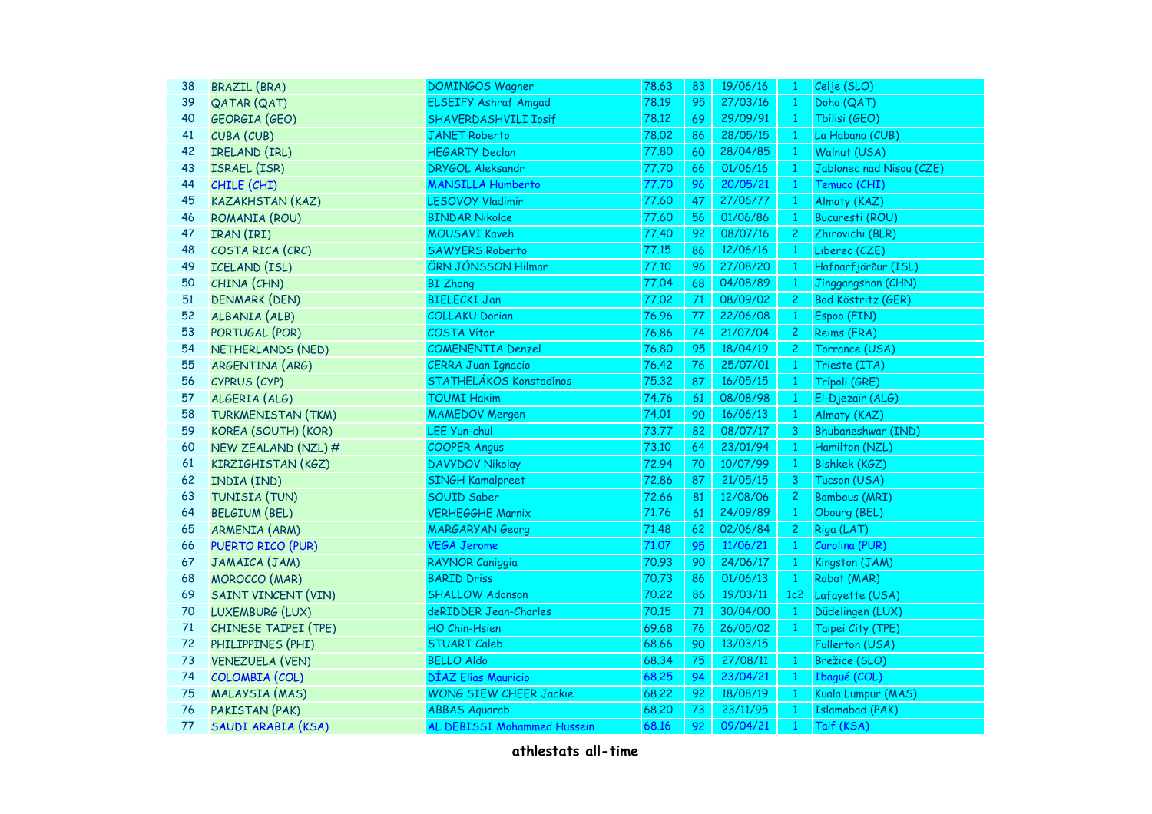| 38     | <b>BRAZIL (BRA)</b>        | <b>DOMINGOS Wagner</b>        | 78.63 | 83            | 19/06/16 | $\mathbf{1}$   | Celje (SLO)               |
|--------|----------------------------|-------------------------------|-------|---------------|----------|----------------|---------------------------|
| 39     | <b>QATAR (QAT)</b>         | <b>ELSEIFY Ashraf Amgad</b>   | 78.19 | 95            | 27/03/16 | $\mathbf{1}$   | Doha (QAT)                |
| 40     | GEORGIA (GEO)              | <b>SHAVERDASHVILI Iosif</b>   | 78.12 | 69            | 29/09/91 | $\mathbf{1}$   | Tbilisi (GEO)             |
| 41     | CUBA (CUB)                 | <b>JANET Roberto</b>          | 78,02 | 86            | 28/05/15 | $\mathbf{1}$   | La Habana (CUB)           |
| 42     | IRELAND (IRL)              | <b>HEGARTY Declan</b>         | 77,80 | 60            | 28/04/85 | $\mathbf{1}$   | Walnut (USA)              |
| 43     | ISRAEL (ISR)               | <b>DRYGOL Aleksandr</b>       | 77.70 | 66            | 01/06/16 | 1              | Jablonec nad Nisou (CZE)  |
| 44     | CHILE (CHI)                | <b>MANSILLA Humberto</b>      | 77.70 | 96            | 20/05/21 | $\mathbf{1}$   | Temuco (CHI)              |
| 45     | <b>KAZAKHSTAN (KAZ)</b>    | <b>LESOVOY Vladimir</b>       | 77.60 | 47            | 27/06/77 | $\mathbf{1}$   | Almaty (KAZ)              |
| 46     | ROMANIA (ROU)              | <b>BINDAR Nikolae</b>         | 77.60 | 56            | 01/06/86 | $\mathbf{1}$   | București (ROU)           |
| 47     | IRAN (IRI)                 | <b>MOUSAVI Kaveh</b>          | 77.40 | 92            | 08/07/16 | $\mathbf{2}$   | Zhirovichi (BLR)          |
| 48     | COSTA RICA (CRC)           | <b>SAWYERS Roberto</b>        | 77.15 | 86            | 12/06/16 | $\mathbf{1}$   | Liberec (CZE)             |
| 49     | ICELAND (ISL)              | ÖRN JÓNSSON Hilmar            | 77.10 | 96            | 27/08/20 | $\mathbf{1}$   | Hafnarfjörður (ISL)       |
| 50     | CHINA (CHN)                | <b>BI Zhong</b>               | 77.04 | 68            | 04/08/89 | $\mathbf{1}$   | Jinggangshan (CHN)        |
| 51     | <b>DENMARK (DEN)</b>       | <b>BIELECKI Jan</b>           | 77.02 | 71            | 08/09/02 | $\overline{c}$ | Bad Köstritz (GER)        |
| 52     | ALBANIA (ALB)              | <b>COLLAKU Dorian</b>         | 76.96 | 77            | 22/06/08 | $\mathbf{1}$   | Espoo (FIN)               |
| 53     | PORTUGAL (POR)             | <b>COSTA Vítor</b>            | 76.86 | 74            | 21/07/04 | $\mathbf{2}$   | Reims (FRA)               |
| 54     | NETHERLANDS (NED)          | <b>COMENENTIA Denzel</b>      | 76.80 | 95            | 18/04/19 | $\mathbf{2}$   | Torrance (USA)            |
| 55     | ARGENTINA (ARG)            | <b>CERRA Juan Ignacio</b>     | 76.42 | 76            | 25/07/01 | $\mathbf{1}$   | Trieste (ITA)             |
| 56     | CYPRUS (CYP)               | STATHELÁKOS Konstadínos       | 75.32 | 87            | 16/05/15 | $1 -$          | Trípoli (GRE)             |
| 57     | ALGERIA (ALG)              | <b>TOUMI Hakim</b>            | 74.76 | 61            | 08/08/98 | $1 -$          | El-Djezaïr (ALG)          |
| 58     | <b>TURKMENISTAN (TKM)</b>  | <b>MAMEDOV Mergen</b>         | 74.01 | 90            | 16/06/13 | $\mathbf{1}$   | Almaty (KAZ)              |
| 59     | KOREA (SOUTH) (KOR)        | <b>LEE Yun-chul</b>           | 73.77 | 82            | 08/07/17 | 3              | <b>Bhubaneshwar (IND)</b> |
| 60     | NEW ZEALAND (NZL) #        | <b>COOPER Angus</b>           | 73.10 | 64            | 23/01/94 | $\mathbf{1}$   | Hamilton (NZL)            |
| 61     | KIRZIGHISTAN (KGZ)         | <b>DAVYDOV Nikolay</b>        | 72.94 | 70            | 10/07/99 | $\mathbf{1}$   | <b>Bishkek (KGZ)</b>      |
| 62     | INDIA (IND)                | <b>SINGH Kamalpreet</b>       | 72.86 | 87            | 21/05/15 | 3              | Tucson (USA)              |
| 63     | TUNISIA (TUN)              | SOUID Saber                   | 72.66 | 81            | 12/08/06 | 2 <sup>1</sup> | <b>Bambous (MRI)</b>      |
| 64     | <b>BELGIUM (BEL)</b>       | <b>VERHEGGHE Marnix</b>       | 71.76 | 61            | 24/09/89 | $\mathbf{1}$   | Obourg (BEL)              |
| 65     | <b>ARMENIA (ARM)</b>       | <b>MARGARYAN Georg</b>        | 71.48 | 62            | 02/06/84 | 2 <sup>1</sup> | Riga (LAT)                |
| 66     | PUERTO RICO (PUR)          | <b>VEGA Jerome</b>            | 71.07 | 95            | 11/06/21 | $\mathbf{1}$   | Carolina (PUR)            |
| 67     | JAMAICA (JAM)              | <b>RAYNOR Caniggia</b>        | 70.93 | 90            | 24/06/17 | $\mathbf{1}$   | Kingston (JAM)            |
| 68     | <b>MOROCCO</b> (MAR)       | <b>BARID Driss</b>            | 70.73 | 86            | 01/06/13 | $\mathbf{1}$   | Rabat (MAR)               |
| 69     | <b>SAINT VINCENT (VIN)</b> | <b>SHALLOW Adonson</b>        | 70.22 | 86            | 19/03/11 | 1c2            | Lafayette (USA)           |
| 70     | LUXEMBURG (LUX)            | deRIDDER Jean-Charles         | 70.15 | $\mathbf{71}$ | 30/04/00 | $\mathbf{1}$   | Düdelingen (LUX)          |
| $71\,$ | CHINESE TAIPEI (TPE)       | HO Chin-Hsien                 | 69.68 | 76            | 26/05/02 | $\mathbf{1}$   | Taipei City (TPE)         |
| 72     | PHILIPPINES (PHI)          | <b>STUART Caleb</b>           | 68.66 | 90            | 13/03/15 |                | Fullerton (USA)           |
| 73     | <b>VENEZUELA (VEN)</b>     | <b>BELLO Aldo</b>             | 68.34 | 75            | 27/08/11 | $\mathbf{1}$   | Brežice (SLO)             |
| 74     | COLOMBIA (COL)             | DÍAZ Elías Mauricio           | 68.25 | 94            | 23/04/21 | $\mathbf{1}$   | Ibagué (COL)              |
| 75     | <b>MALAYSIA (MAS)</b>      | <b>WONG SIEW CHEER Jackie</b> | 68.22 | 92            | 18/08/19 | 1              | Kuala Lumpur (MAS)        |
| 76     | PAKISTAN (PAK)             | <b>ABBAS Aquarab</b>          | 68.20 | 73            | 23/11/95 | -1             | <b>Islamabad (PAK)</b>    |
| 77     | SAUDI ARABIA (KSA)         | AL DEBISSI Mohammed Hussein   | 68.16 | 92            | 09/04/21 | $\mathbf{1}$   | Taif (KSA)                |